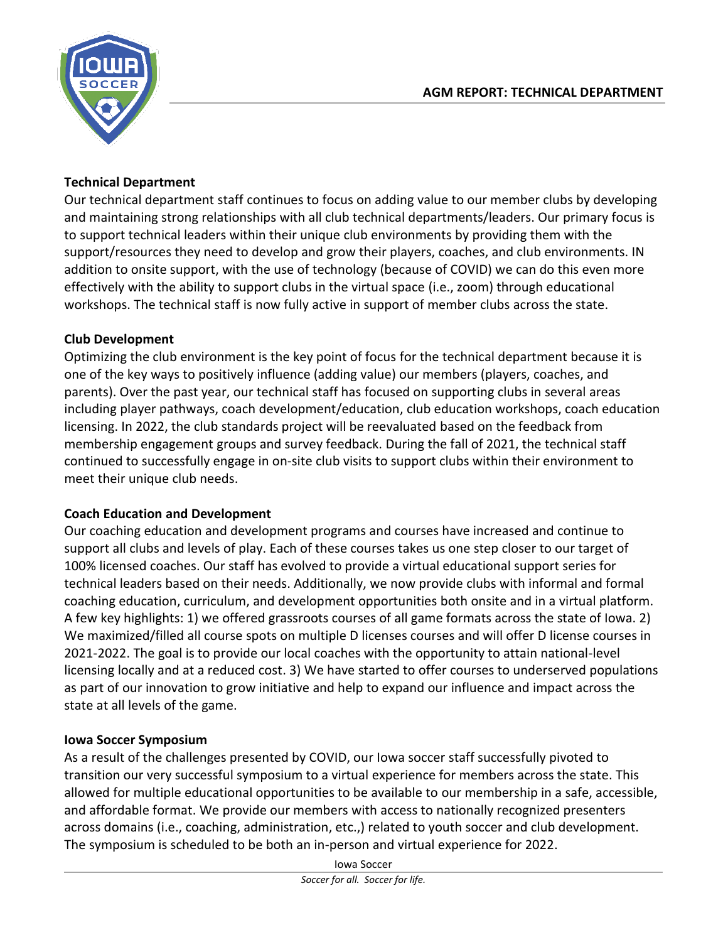

## **Technical Department**

Our technical department staff continues to focus on adding value to our member clubs by developing and maintaining strong relationships with all club technical departments/leaders. Our primary focus is to support technical leaders within their unique club environments by providing them with the support/resources they need to develop and grow their players, coaches, and club environments. IN addition to onsite support, with the use of technology (because of COVID) we can do this even more effectively with the ability to support clubs in the virtual space (i.e., zoom) through educational workshops. The technical staff is now fully active in support of member clubs across the state.

## **Club Development**

Optimizing the club environment is the key point of focus for the technical department because it is one of the key ways to positively influence (adding value) our members (players, coaches, and parents). Over the past year, our technical staff has focused on supporting clubs in several areas including player pathways, coach development/education, club education workshops, coach education licensing. In 2022, the club standards project will be reevaluated based on the feedback from membership engagement groups and survey feedback. During the fall of 2021, the technical staff continued to successfully engage in on-site club visits to support clubs within their environment to meet their unique club needs.

# **Coach Education and Development**

Our coaching education and development programs and courses have increased and continue to support all clubs and levels of play. Each of these courses takes us one step closer to our target of 100% licensed coaches. Our staff has evolved to provide a virtual educational support series for technical leaders based on their needs. Additionally, we now provide clubs with informal and formal coaching education, curriculum, and development opportunities both onsite and in a virtual platform. A few key highlights: 1) we offered grassroots courses of all game formats across the state of Iowa. 2) We maximized/filled all course spots on multiple D licenses courses and will offer D license courses in 2021-2022. The goal is to provide our local coaches with the opportunity to attain national-level licensing locally and at a reduced cost. 3) We have started to offer courses to underserved populations as part of our innovation to grow initiative and help to expand our influence and impact across the state at all levels of the game.

#### **Iowa Soccer Symposium**

As a result of the challenges presented by COVID, our Iowa soccer staff successfully pivoted to transition our very successful symposium to a virtual experience for members across the state. This allowed for multiple educational opportunities to be available to our membership in a safe, accessible, and affordable format. We provide our members with access to nationally recognized presenters across domains (i.e., coaching, administration, etc.,) related to youth soccer and club development. The symposium is scheduled to be both an in-person and virtual experience for 2022.

Iowa Soccer